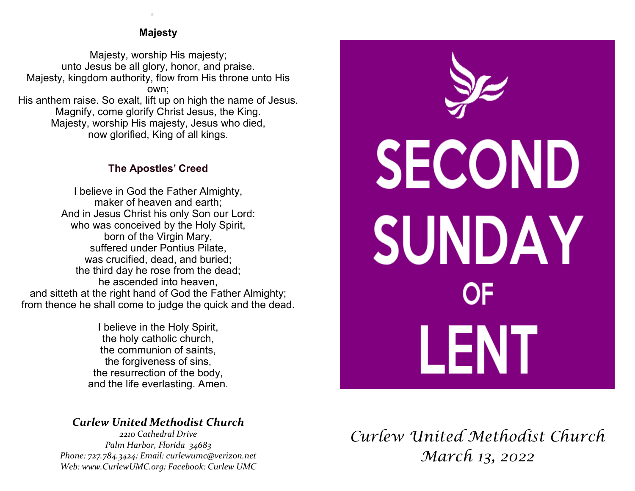### **Majesty**

.

Majesty, worship His majesty; unto Jesus be all glory, honor, and praise. Majesty, kingdom authority, flow from His throne unto His own; His anthem raise. So exalt, lift up on high the name of Jesus. Magnify, come glorify Christ Jesus, the King. Majesty, worship His majesty, Jesus who died, now glorified, King of all kings.

### **The Apostles' Creed**

I believe in God the Father Almighty, maker of heaven and earth; And in Jesus Christ his only Son our Lord: who was conceived by the Holy Spirit, born of the Virgin Mary, suffered under Pontius Pilate, was crucified, dead, and buried; the third day he rose from the dead; he ascended into heaven, and sitteth at the right hand of God the Father Almighty; from thence he shall come to judge the quick and the dead.

> I believe in the Holy Spirit, the holy catholic church, the communion of saints, the forgiveness of sins, the resurrection of the body, and the life everlasting. Amen.

# *Curlew United Methodist Church*

*2210 Cathedral Drive Palm Harbor, Florida 34683 Phone: 727.784.3424; Email: curlewumc@verizon.net Web: www.CurlewUMC.org; Facebook: Curlew UMC*



*Curlew United Methodist Church March 13, 2022*